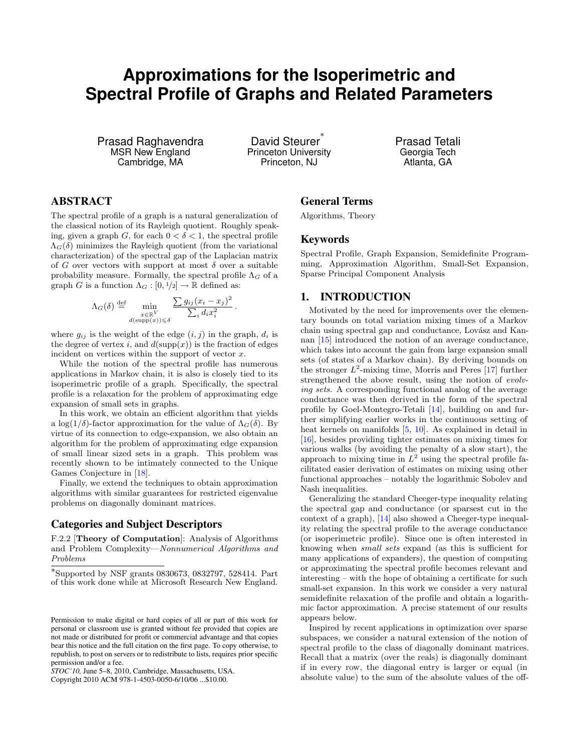# **Approximations for the Isoperimetric and Spectral Profile of Graphs and Related Parameters**

Prasad Raghavendra MSR New England Cambridge, MA

David Steurer<sup>\*</sup> Princeton University Princeton, NJ

Prasad Tetali Georgia Tech Atlanta, GA

# ABSTRACT

The spectral profile of a graph is a natural generalization of the classical notion of its Rayleigh quotient. Roughly speaking, given a graph G, for each  $0 < \delta < 1$ , the spectral profile  $\Lambda_G(\delta)$  minimizes the Rayleigh quotient (from the variational characterization) of the spectral gap of the Laplacian matrix of G over vectors with support at most  $\delta$  over a suitable probability measure. Formally, the spectral profile  $\Lambda_G$  of a graph G is a function  $\Lambda_G : [0, 1/2] \to \mathbb{R}$  defined as:

$$
\Lambda_G(\delta) \stackrel{\text{def}}{=} \min_{\substack{x \in \mathbb{R}^V \\ d(\text{supp}(x)) \leqslant \delta}} \frac{\sum g_{ij} (x_i - x_j)^2}{\sum_i d_i x_i^2}
$$

.

where  $g_{ij}$  is the weight of the edge  $(i, j)$  in the graph,  $d_i$  is the degree of vertex i, and  $d(\text{supp}(x))$  is the fraction of edges incident on vertices within the support of vector  $x$ .

While the notion of the spectral profile has numerous applications in Markov chain, it is also is closely tied to its isoperimetric profile of a graph. Specifically, the spectral profile is a relaxation for the problem of approximating edge expansion of small sets in graphs.

In this work, we obtain an efficient algorithm that yields a log(1/δ)-factor approximation for the value of  $\Lambda_G(\delta)$ . By virtue of its connection to edge-expansion, we also obtain an algorithm for the problem of approximating edge expansion of small linear sized sets in a graph. This problem was recently shown to be intimately connected to the Unique Games Conjecture in [\[18\]](#page-8-0).

Finally, we extend the techniques to obtain approximation algorithms with similar guarantees for restricted eigenvalue problems on diagonally dominant matrices.

## Categories and Subject Descriptors

F.2.2 [Theory of Computation]: Analysis of Algorithms and Problem Complexity—Nonnumerical Algorithms and Problems

*STOC'10,* June 5–8, 2010, Cambridge, Massachusetts, USA.

Copyright 2010 ACM 978-1-4503-0050-6/10/06 ...\$10.00.

# General Terms

Algorithms, Theory

## Keywords

Spectral Profile, Graph Expansion, Semidefinite Programming, Approximation Algorithm, Small-Set Expansion, Sparse Principal Component Analysis

# 1. INTRODUCTION

Motivated by the need for improvements over the elementary bounds on total variation mixing times of a Markov chain using spectral gap and conductance, Lovász and Kannan [\[15\]](#page-8-1) introduced the notion of an average conductance, which takes into account the gain from large expansion small sets (of states of a Markov chain). By deriving bounds on the stronger  $L^2$ -mixing time, Morris and Peres [\[17\]](#page-8-2) further strengthened the above result, using the notion of evolving sets. A corresponding functional analog of the average conductance was then derived in the form of the spectral profile by Goel-Montegro-Tetali [\[14\]](#page-8-3), building on and further simplifying earlier works in the continuous setting of heat kernels on manifolds [\[5,](#page-8-4) [10\]](#page-8-5). As explained in detail in [\[16\]](#page-8-6), besides providing tighter estimates on mixing times for various walks (by avoiding the penalty of a slow start), the approach to mixing time in  $L^2$  using the spectral profile facilitated easier derivation of estimates on mixing using other functional approaches – notably the logarithmic Sobolev and Nash inequalities.

Generalizing the standard Cheeger-type inequality relating the spectral gap and conductance (or sparsest cut in the context of a graph), [\[14\]](#page-8-3) also showed a Cheeger-type inequality relating the spectral profile to the average conductance (or isoperimetric profile). Since one is often interested in knowing when small sets expand (as this is sufficient for many applications of expanders), the question of computing or approximating the spectral profile becomes relevant and interesting – with the hope of obtaining a certificate for such small-set expansion. In this work we consider a very natural semidefinite relaxation of the profile and obtain a logarithmic factor approximation. A precise statement of our results appears below.

Inspired by recent applications in optimization over sparse subspaces, we consider a natural extension of the notion of spectral profile to the class of diagonally dominant matrices. Recall that a matrix (over the reals) is diagonally dominant if in every row, the diagonal entry is larger or equal (in absolute value) to the sum of the absolute values of the off-

<sup>∗</sup> Supported by NSF grants 0830673, 0832797, 528414. Part of this work done while at Microsoft Research New England.

Permission to make digital or hard copies of all or part of this work for personal or classroom use is granted without fee provided that copies are not made or distributed for profit or commercial advantage and that copies bear this notice and the full citation on the first page. To copy otherwise, to republish, to post on servers or to redistribute to lists, requires prior specific permission and/or a fee.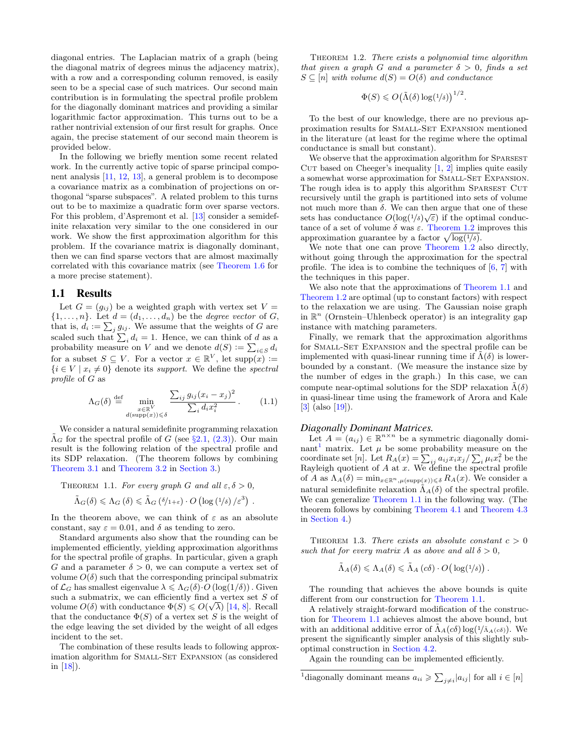diagonal entries. The Laplacian matrix of a graph (being the diagonal matrix of degrees minus the adjacency matrix), with a row and a corresponding column removed, is easily seen to be a special case of such matrices. Our second main contribution is in formulating the spectral profile problem for the diagonally dominant matrices and providing a similar logarithmic factor approximation. This turns out to be a rather nontrivial extension of our first result for graphs. Once again, the precise statement of our second main theorem is provided below.

In the following we briefly mention some recent related work. In the currently active topic of sparse principal component analysis [\[11,](#page-8-7) [12,](#page-8-8) [13\]](#page-8-9), a general problem is to decompose a covariance matrix as a combination of projections on orthogonal "sparse subspaces". A related problem to this turns out to be to maximize a quadratic form over sparse vectors. For this problem, d'Aspremont et al. [\[13\]](#page-8-9) consider a semidefinite relaxation very similar to the one considered in our work. We show the first approximation algorithm for this problem. If the covariance matrix is diagonally dominant, then we can find sparse vectors that are almost maximally correlated with this covariance matrix (see [Theorem 1.6](#page-2-0) for a more precise statement).

#### 1.1 Results

Let  $G = (g_{ij})$  be a weighted graph with vertex set  $V =$  $\{1,\ldots,n\}$ . Let  $d=(d_1,\ldots,d_n)$  be the *degree vector* of G, that is,  $d_i := \sum_j g_{ij}$ . We assume that the weights of G are scaled such that  $\sum_i d_i = 1$ . Hence, we can think of d as a probability measure on V and we denote  $d(S) := \sum_{i \in S} d_i$ for a subset  $S \subseteq V$ . For a vector  $x \in \mathbb{R}^V$ , let  $\text{supp}(x) :=$  $\{i \in V \mid x_i \neq 0\}$  denote its support. We define the spectral profile of G as

$$
\Lambda_G(\delta) \stackrel{\text{def}}{=} \min_{\substack{x \in \mathbb{R}^V \\ d(\text{supp}(x)) \le \delta}} \frac{\sum_{ij} g_{ij} (x_i - x_j)^2}{\sum_i d_i x_i^2} \,. \tag{1.1}
$$

<span id="page-1-1"></span>.

We consider a natural semidefinite programming relaxation  $\tilde{\Lambda}_G$  for the spectral profile of G (see §[2.1,](#page-3-0) [\(2.3\)\)](#page-3-1). Our main result is the following relation of the spectral profile and its SDP relaxation. (The theorem follows by combining [Theorem 3.1](#page-4-0) and [Theorem 3.2](#page-4-1) in [Section 3.](#page-4-2))

THEOREM 1.1. For every graph G and all  $\varepsilon, \delta > 0$ ,

$$
\tilde{\Lambda}_{G}(\delta) \leqslant \Lambda_{G}(\delta) \leqslant \tilde{\Lambda}_{G}(\delta/_{1+\varepsilon}) \cdot O\left(\log\left(\frac{1}{\delta}\right)/\varepsilon^{3}\right)
$$

In the theorem above, we can think of  $\varepsilon$  as an absolute constant, say  $\varepsilon = 0.01$ , and  $\delta$  as tending to zero.

Standard arguments also show that the rounding can be implemented efficiently, yielding approximation algorithms for the spectral profile of graphs. In particular, given a graph G and a parameter  $\delta > 0$ , we can compute a vertex set of volume  $O(\delta)$  such that the corresponding principal submatrix of  $\mathcal{L}_G$  has smallest eigenvalue  $\lambda \leq \Lambda_G(\delta) \cdot O(\log(1/\delta))$ . Given such a submatrix, we can efficiently find a vertex set  $S$  of volume  $O(\delta)$  with conductance  $\Phi(S) \leq O(\sqrt{\lambda})$  [\[14,](#page-8-3) [8\]](#page-8-10). Recall that the conductance  $\Phi(S)$  of a vertex set S is the weight of the edge leaving the set divided by the weight of all edges incident to the set.

<span id="page-1-0"></span>The combination of these results leads to following approximation algorithm for SMALL-SET EXPANSION (as considered in [\[18\]](#page-8-0)).

THEOREM 1.2. There exists a polynomial time algorithm that given a graph G and a parameter  $\delta > 0$ , finds a set  $S \subseteq [n]$  with volume  $d(S) = O(\delta)$  and conductance

$$
\Phi(S) \leqslant O(\tilde{\Lambda}(\delta) \log(1/\delta))^{1/2}.
$$

To the best of our knowledge, there are no previous approximation results for SMALL-SET EXPANSION mentioned in the literature (at least for the regime where the optimal conductance is small but constant).

We observe that the approximation algorithm for SPARSEST CUT based on Cheeger's inequality  $[1, 2]$  $[1, 2]$  $[1, 2]$  implies quite easily a somewhat worse approximation for SMALL-SET EXPANSION. The rough idea is to apply this algorithm SPARSEST CUT recursively until the graph is partitioned into sets of volume not much more than δ. We can then argue that one of these sets has conductance  $O(\log(1/\delta)\sqrt{\varepsilon})$  if the optimal conductance of a set of volume  $\delta$  was  $\varepsilon$ . [Theorem 1.2](#page-1-0) improves this approximation guarantee by a factor  $\sqrt{\log(1/\delta)}$ .

We note that one can prove [Theorem 1.2](#page-1-0) also directly, without going through the approximation for the spectral profile. The idea is to combine the techniques of  $[6, 7]$  $[6, 7]$  $[6, 7]$  with the techniques in this paper.

We also note that the approximations of [Theorem 1.1](#page-1-1) and [Theorem 1.2](#page-1-0) are optimal (up to constant factors) with respect to the relaxation we are using. The Gaussian noise graph in  $\mathbb{R}^n$  (Ornstein–Uhlenbeck operator) is an integrality gap instance with matching parameters.

Finally, we remark that the approximation algorithms for Small-Set Expansion and the spectral profile can be implemented with quasi-linear running time if  $\tilde{\Lambda}(\delta)$  is lowerbounded by a constant. (We measure the instance size by the number of edges in the graph.) In this case, we can compute near-optimal solutions for the SDP relaxation  $\Lambda(\delta)$ in quasi-linear time using the framework of Arora and Kale [\[3\]](#page-8-15) (also [\[19\]](#page-8-16)).

#### *Diagonally Dominant Matrices.*

Let  $A = (a_{ij}) \in \mathbb{R}^{n \times n}$  be a symmetric diagonally domi-nant<sup>[1](#page-1-2)</sup> matrix. Let  $\mu$  be some probability measure on the coordinate set [n]. Let  $R_A(x) = \sum_{ij} a_{ij} x_i x_j / \sum_i \mu_i x_i^2$  be the Rayleigh quotient of  $A$  at  $x$ . We define the spectral profile of A as  $\Lambda_A(\delta) = \min_{x \in \mathbb{R}^n, \mu(\text{supp}(x)) \leq \delta} R_A(x)$ . We consider a natural semidefinite relaxation  $\tilde{\Lambda}_A(\delta)$  of the spectral profile. We can generalize [Theorem 1.1](#page-1-1) in the following way. (The theorem follows by combining [Theorem 4.1](#page-5-0) and [Theorem 4.3](#page-6-0) in [Section 4.](#page-5-1))

<span id="page-1-4"></span>THEOREM 1.3. There exists an absolute constant  $c > 0$ such that for every matrix A as above and all  $\delta > 0$ ,

<span id="page-1-3"></span>
$$
\tilde{\Lambda}_A(\delta) \leqslant \Lambda_A(\delta) \leqslant \tilde{\Lambda}_A(c\delta) \cdot O\big(\log(1/\delta)\big) .
$$

The rounding that achieves the above bounds is quite different from our construction for [Theorem 1.1.](#page-1-1)

A relatively straight-forward modification of the construction for [Theorem 1.1](#page-1-1) achieves almost the above bound, but with an additional additive error of  $\tilde{\Lambda}_A(c\delta) \log(1/\tilde{\Lambda}_A(c\delta))$ . We present the significantly simpler analysis of this slightly suboptimal construction in [Section 4.2.](#page-6-1)

Again the rounding can be implemented efficiently.

<span id="page-1-2"></span><sup>&</sup>lt;sup>1</sup>diagonally dominant means  $a_{ii} \geqslant \sum_{j \neq i} |a_{ij}|$  for all  $i \in [n]$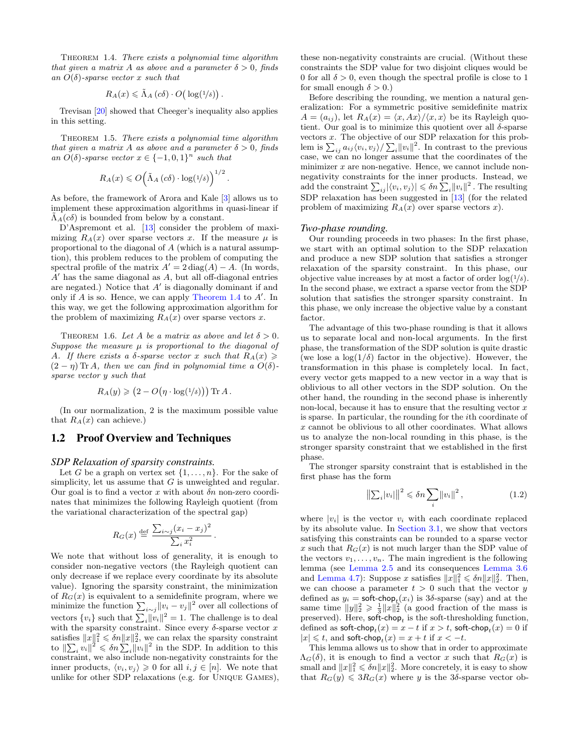THEOREM 1.4. There exists a polynomial time algorithm that given a matrix A as above and a parameter  $\delta > 0$ , finds an  $O(\delta)$ -sparse vector x such that

$$
R_A(x) \leq \tilde{\Lambda}_A(c\delta) \cdot O\big(\log(1/\delta)\big).
$$

Trevisan [\[20\]](#page-8-17) showed that Cheeger's inequality also applies in this setting.

Theorem 1.5. There exists a polynomial time algorithm that given a matrix A as above and a parameter  $\delta > 0$ , finds an  $O(\delta)$ -sparse vector  $x \in \{-1,0,1\}^n$  such that

$$
R_A(x) \leqslant O\Big(\tilde{\Lambda}_A\left(c\delta\right) \cdot \log\left(\frac{1}{\delta}\right)\Big)^{1/2}.
$$

As before, the framework of Arora and Kale [\[3\]](#page-8-15) allows us to implement these approximation algorithms in quasi-linear if  $\tilde{\Lambda}_{A}(c\delta)$  is bounded from below by a constant.

D'Aspremont et al. [\[13\]](#page-8-9) consider the problem of maximizing  $R_A(x)$  over sparse vectors x. If the measure  $\mu$  is proportional to the diagonal of A (which is a natural assumption), this problem reduces to the problem of computing the spectral profile of the matrix  $A' = 2 \text{ diag}(A) - A$ . (In words,  $A'$  has the same diagonal as  $A$ , but all off-diagonal entries are negated.) Notice that  $A'$  is diagonally dominant if and only if  $A$  is so. Hence, we can apply [Theorem 1.4](#page-1-3) to  $A'$ . In this way, we get the following approximation algorithm for the problem of maximizing  $R_A(x)$  over sparse vectors x.

<span id="page-2-0"></span>THEOREM 1.6. Let A be a matrix as above and let  $\delta > 0$ . Suppose the measure  $\mu$  is proportional to the diagonal of A. If there exists a  $\delta$ -sparse vector x such that  $R_A(x) \geq$  $(2 - \eta)$  Tr A, then we can find in polynomial time a  $O(\delta)$ sparse vector y such that

$$
R_A(y) \geq (2 - O(\eta \cdot \log(1/\delta))) \operatorname{Tr} A.
$$

(In our normalization, 2 is the maximum possible value that  $R_A(x)$  can achieve.)

## 1.2 Proof Overview and Techniques

#### *SDP Relaxation of sparsity constraints.*

Let G be a graph on vertex set  $\{1, \ldots, n\}$ . For the sake of simplicity, let us assume that  $G$  is unweighted and regular. Our goal is to find a vector x with about  $\delta n$  non-zero coordinates that minimizes the following Rayleigh quotient (from the variational characterization of the spectral gap)

$$
R_G(x) \stackrel{\text{def}}{=} \frac{\sum_{i \sim j} (x_i - x_j)^2}{\sum_i x_i^2}.
$$

We note that without loss of generality, it is enough to consider non-negative vectors (the Rayleigh quotient can only decrease if we replace every coordinate by its absolute value). Ignoring the sparsity constraint, the minimization of  $R_G(x)$  is equivalent to a semidefinite program, where we minimize the function  $\sum_{i \sim j} ||v_i - v_j||^2$  over all collections of vectors  $\{v_i\}$  such that  $\sum_i ||v_i||^2 = 1$ . The challenge is to deal with the sparsity constraint. Since every  $\delta$ -sparse vector x satisfies  $||x||_1^2 \leq \delta n ||x||_2^2$ , we can relax the sparsity constraint to  $\|\sum_i v_i\|^2 \leqslant \delta n \sum_i \|v_i\|^2$  in the SDP. In addition to this constraint, we also include non-negativity constraints for the inner products,  $\langle v_i, v_j \rangle \geq 0$  for all  $i, j \in [n]$ . We note that unlike for other SDP relaxations (e.g. for Unique Games), these non-negativity constraints are crucial. (Without these constraints the SDP value for two disjoint cliques would be 0 for all  $\delta > 0$ , even though the spectral profile is close to 1 for small enough  $\delta > 0$ .)

Before describing the rounding, we mention a natural generalization: For a symmetric positive semidefinite matrix  $A = (a_{ij})$ , let  $R_A(x) = \langle x, Ax \rangle / \langle x, x \rangle$  be its Rayleigh quotient. Our goal is to minimize this quotient over all  $\delta$ -sparse vectors x. The objective of our SDP relaxation for this problem is  $\sum_{ij} a_{ij} \langle v_i, v_j \rangle / \sum_i ||v_i||^2$ . In contrast to the previous case, we can no longer assume that the coordinates of the minimizer  $x$  are non-negative. Hence, we cannot include nonnegativity constraints for the inner products. Instead, we add the constraint  $\sum_{ij} |\langle v_i, v_j \rangle| \leqslant \delta n \sum_{i} ||v_i||^2$ . The resulting SDP relaxation has been suggested in [\[13\]](#page-8-9) (for the related problem of maximizing  $R_A(x)$  over sparse vectors x).

#### *Two-phase rounding.*

Our rounding proceeds in two phases: In the first phase, we start with an optimal solution to the SDP relaxation and produce a new SDP solution that satisfies a stronger relaxation of the sparsity constraint. In this phase, our objective value increases by at most a factor of order  $\log(1/\delta)$ . In the second phase, we extract a sparse vector from the SDP solution that satisfies the stronger sparsity constraint. In this phase, we only increase the objective value by a constant factor.

The advantage of this two-phase rounding is that it allows us to separate local and non-local arguments. In the first phase, the transformation of the SDP solution is quite drastic (we lose a  $\log(1/\delta)$  factor in the objective). However, the transformation in this phase is completely local. In fact, every vector gets mapped to a new vector in a way that is oblivious to all other vectors in the SDP solution. On the other hand, the rounding in the second phase is inherently non-local, because it has to ensure that the resulting vector  $x$ is sparse. In particular, the rounding for the ith coordinate of x cannot be oblivious to all other coordinates. What allows us to analyze the non-local rounding in this phase, is the stronger sparsity constraint that we established in the first phase.

The stronger sparsity constraint that is established in the first phase has the form

<span id="page-2-1"></span>
$$
\left\|\sum_{i}|v_{i}|\right\|^{2} \leqslant \delta n \sum_{i} |v_{i}||^{2}, \qquad (1.2)
$$

where  $|v_i|$  is the vector  $v_i$  with each coordinate replaced by its absolute value. In [Section 3.1,](#page-4-3) we show that vectors satisfying this constraints can be rounded to a sparse vector x such that  $R_G(x)$  is not much larger than the SDP value of the vectors  $v_1, \ldots, v_n$ . The main ingredient is the following lemma (see [Lemma 2.5](#page-4-4) and its consequences [Lemma 3.6](#page-5-2) and [Lemma 4.7\)](#page-6-2): Suppose x satisfies  $||x||_1^2 \leq \delta n ||x||_2^2$ . Then, we can choose a parameter  $t > 0$  such that the vector y defined as  $y_i = \text{soft-chop}_t(x_i)$  is 3δ-sparse (say) and at the same time  $||y||_2^2 \ge \frac{1}{3} ||x||_2^2$  (a good fraction of the mass is preserved). Here,  $\text{soft-chop}_t$  is the soft-thresholding function, defined as  $\textsf{soft-chop}_t(x) = x - t$  if  $x > t$ ,  $\textsf{soft-chop}_t(x) = 0$  if  $|x| \leq t$ , and soft-chop $_t(x) = x + t$  if  $x < -t$ .

This lemma allows us to show that in order to approximate  $\Lambda_G(\delta)$ , it is enough to find a vector x such that  $R_G(x)$  is small and  $||x||_1^2 \leq \delta n ||x||_2^2$ . More concretely, it is easy to show that  $R_G(y) \leq 3R_G(x)$  where y is the 3δ-sparse vector ob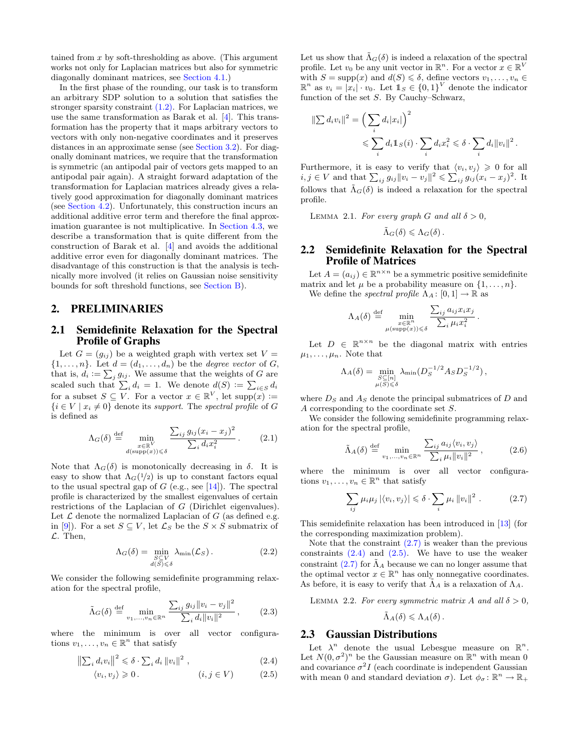tained from  $x$  by soft-thresholding as above. (This argument works not only for Laplacian matrices but also for symmetric diagonally dominant matrices, see [Section 4.1.](#page-6-3))

In the first phase of the rounding, our task is to transform an arbitrary SDP solution to a solution that satisfies the stronger sparsity constraint  $(1.2)$ . For Laplacian matrices, we use the same transformation as Barak et al. [\[4\]](#page-8-18). This transformation has the property that it maps arbitrary vectors to vectors with only non-negative coordinates and it preserves distances in an approximate sense (see [Section 3.2\)](#page-5-3). For diagonally dominant matrices, we require that the transformation is symmetric (an antipodal pair of vectors gets mapped to an antipodal pair again). A straight forward adaptation of the transformation for Laplacian matrices already gives a relatively good approximation for diagonally dominant matrices (see [Section 4.2\)](#page-6-1). Unfortunately, this construction incurs an additional additive error term and therefore the final approximation guarantee is not multiplicative. In [Section 4.3,](#page-7-0) we describe a transformation that is quite different from the construction of Barak et al. [\[4\]](#page-8-18) and avoids the additional additive error even for diagonally dominant matrices. The disadvantage of this construction is that the analysis is technically more involved (it relies on Gaussian noise sensitivity bounds for soft threshold functions, see [Section B\)](#page-8-19).

# 2. PRELIMINARIES

# <span id="page-3-0"></span>2.1 Semidefinite Relaxation for the Spectral Profile of Graphs

Let  $G = (g_{ij})$  be a weighted graph with vertex set  $V =$  $\{1,\ldots,n\}$ . Let  $d=(d_1,\ldots,d_n)$  be the *degree vector* of G, that is,  $d_i := \sum_j g_{ij}$ . We assume that the weights of G are scaled such that  $\sum_i d_i = 1$ . We denote  $d(S) := \sum_{i \in S} d_i$ for a subset  $S \subseteq V$ . For a vector  $x \in \mathbb{R}^V$ , let  $\text{supp}(x) :=$  ${i \in V \mid x_i \neq 0}$  denote its support. The spectral profile of G is defined as

$$
\Lambda_G(\delta) \stackrel{\text{def}}{=} \min_{\substack{x \in \mathbb{R}^V \\ d(\text{supp}(x)) \leq \delta}} \frac{\sum_{ij} g_{ij} (x_i - x_j)^2}{\sum_i d_i x_i^2} \,. \tag{2.1}
$$

Note that  $\Lambda_G(\delta)$  is monotonically decreasing in  $\delta$ . It is easy to show that  $\Lambda_G(1/2)$  is up to constant factors equal to the usual spectral gap of  $G$  (e.g., see [\[14\]](#page-8-3)). The spectral profile is characterized by the smallest eigenvalues of certain restrictions of the Laplacian of G (Dirichlet eigenvalues). Let  $\mathcal L$  denote the normalized Laplacian of  $G$  (as defined e.g. in [\[9\]](#page-8-20)). For a set  $S \subseteq V$ , let  $\mathcal{L}_S$  be the  $S \times S$  submatrix of  $\mathcal{L}$ . Then,

$$
\Lambda_G(\delta) = \min_{\substack{S \subseteq V \\ d(S) \le \delta}} \lambda_{\min}(\mathcal{L}_S). \tag{2.2}
$$

We consider the following semidefinite programming relaxation for the spectral profile,

<span id="page-3-1"></span>
$$
\tilde{\Lambda}_G(\delta) \stackrel{\text{def}}{=} \min_{v_1, \dots, v_n \in \mathbb{R}^n} \frac{\sum_{ij} g_{ij} ||v_i - v_j||^2}{\sum_i d_i ||v_i||^2}, \qquad (2.3)
$$

where the minimum is over all vector configurations  $v_1, \ldots, v_n \in \mathbb{R}^n$  that satisfy

$$
\left\|\sum_{i} d_i v_i\right\|^2 \leqslant \delta \cdot \sum_{i} d_i \left\|v_i\right\|^2 , \tag{2.4}
$$

$$
\langle v_i, v_j \rangle \geq 0. \qquad (i, j \in V) \qquad (2.5)
$$

Let us show that  $\tilde{\Lambda}_{G}(\delta)$  is indeed a relaxation of the spectral profile. Let  $v_0$  be any unit vector in  $\mathbb{R}^n$ . For a vector  $x \in \mathbb{R}^V$ with  $S = \text{supp}(x)$  and  $d(S) \leq \delta$ , define vectors  $v_1, \ldots, v_n \in$  $\mathbb{R}^n$  as  $v_i = [x_i] \cdot v_0$ . Let  $\mathbb{1}_S \in \{0,1\}^V$  denote the indicator function of the set S. By Cauchy–Schwarz,

$$
\|\sum_{i} d_i v_i\|^2 = \left(\sum_{i} d_i |x_i|\right)^2
$$
  
\$\leqslant \sum\_{i} d\_i 1\!\!1\_{S}(i) \cdot \sum\_{i} d\_i x\_i^2 \leqslant \delta \cdot \sum\_{i} d\_i ||v\_i||^2\$.

Furthermore, it is easy to verify that  $\langle v_i, v_j \rangle \geq 0$  for all *i*, *j* ∈ *V* and that  $\sum_{ij} g_{ij} ||v_i - v_j||^2 \leqslant \sum_{ij} g_{ij} (x_i - x_j)^2$ . It follows that  $\tilde{\Lambda}_G(\delta)$  is indeed a relaxation for the spectral profile.

LEMMA 2.1. For every graph G and all  $\delta > 0$ ,

 $\overline{\phantom{a}}$ 

$$
\tilde{\Lambda}_G(\delta) \leqslant \Lambda_G(\delta).
$$

## 2.2 Semidefinite Relaxation for the Spectral Profile of Matrices

Let  $A = (a_{ij}) \in \mathbb{R}^{n \times n}$  be a symmetric positive semidefinite matrix and let  $\mu$  be a probability measure on  $\{1, \ldots, n\}$ . We define the *spectral profile*  $\Lambda_A : [0,1] \to \mathbb{R}$  as

$$
\Lambda_A(\delta) \stackrel{\text{def}}{=} \min_{\substack{x \in \mathbb{R}^n \\ \mu(\text{supp}(x)) \leq \delta}} \frac{\sum_{ij} a_{ij} x_i x_j}{\sum_i \mu_i x_i^2}.
$$

Let  $D \in \mathbb{R}^{n \times n}$  be the diagonal matrix with entries  $\mu_1, \ldots, \mu_n$ . Note that

$$
\Lambda_A(\delta) = \min_{\substack{S \subseteq [n] \\ \mu(S) \leq \delta}} \lambda_{\min} (D_S^{-1/2} A_S D_S^{-1/2}),
$$

where  $D<sub>S</sub>$  and  $A<sub>S</sub>$  denote the principal submatrices of D and A corresponding to the coordinate set S.

We consider the following semidefinite programming relaxation for the spectral profile,

$$
\tilde{\Lambda}_A(\delta) \stackrel{\text{def}}{=} \min_{v_1, \dots, v_n \in \mathbb{R}^n} \frac{\sum_{ij} a_{ij} \langle v_i, v_j \rangle}{\sum_i \mu_i ||v_i||^2}, \tag{2.6}
$$

where the minimum is over all vector configurations  $v_1, \ldots, v_n \in \mathbb{R}^n$  that satisfy

<span id="page-3-2"></span>
$$
\sum_{ij} \mu_i \mu_j |\langle v_i, v_j \rangle| \leq \delta \cdot \sum_i \mu_i \|v_i\|^2 . \tag{2.7}
$$

This semidefinite relaxation has been introduced in [\[13\]](#page-8-9) (for the corresponding maximization problem).

Note that the constraint  $(2.7)$  is weaker than the previous constraints  $(2.4)$  and  $(2.5)$ . We have to use the weaker constraint [\(2.7\)](#page-3-2) for  $\tilde{\Lambda}_A$  because we can no longer assume that the optimal vector  $x \in \mathbb{R}^n$  has only nonnegative coordinates. As before, it is easy to verify that  $\tilde{\Lambda}_A$  is a relaxation of  $\Lambda_A$ .

LEMMA 2.2. For every symmetric matrix A and all  $\delta > 0$ ,

$$
\tilde{\Lambda}_A(\delta) \leqslant \Lambda_A(\delta)\,.
$$

# <span id="page-3-5"></span>2.3 Gaussian Distributions

<span id="page-3-4"></span><span id="page-3-3"></span>Let  $\lambda^n$  denote the usual Lebesgue measure on  $\mathbb{R}^n$ . Let  $N(0, \sigma^2)^n$  be the Gaussian measure on  $\mathbb{R}^n$  with mean 0 and covariance  $\sigma^2 I$  (each coordinate is independent Gaussian with mean 0 and standard deviation  $\sigma$ ). Let  $\phi_{\sigma} : \mathbb{R}^n \to \mathbb{R}_+$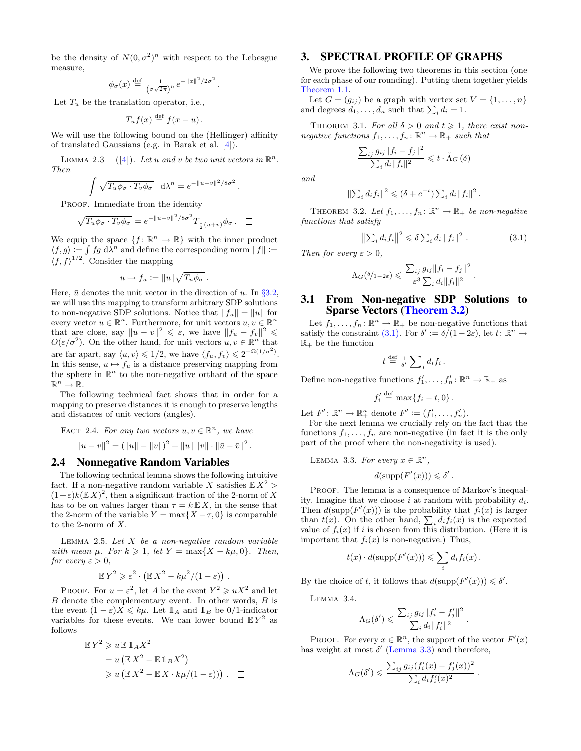be the density of  $N(0, \sigma^2)^n$  with respect to the Lebesgue measure,

$$
\phi_{\sigma}(x) \stackrel{\text{def}}{=} \frac{1}{(\sigma\sqrt{2\pi})^n} e^{-\|x\|^2/2\sigma^2}.
$$

Let  $T_u$  be the translation operator, i.e.,

$$
T_u f(x) \stackrel{\text{def}}{=} f(x - u).
$$

We will use the following bound on the (Hellinger) affinity of translated Gaussians (e.g. in Barak et al. [\[4\]](#page-8-18)).

LEMMA 2.3 ([\[4\]](#page-8-18)). Let u and v be two unit vectors in  $\mathbb{R}^n$ . Then

$$
\int \sqrt{T_u \phi_\sigma \cdot T_v \phi_\sigma} d\lambda^n = e^{-\|u-v\|^2/8\sigma^2}.
$$

PROOF. Immediate from the identity

$$
\sqrt{T_u \phi_\sigma \cdot T_v \phi_\sigma} = e^{-\|u-v\|^2/8\sigma^2} T_{\frac{1}{2}(u+v)} \phi_\sigma. \quad \Box
$$

We equip the space  $\{f: \mathbb{R}^n \to \mathbb{R}\}$  with the inner product  $\langle f, g \rangle := \int f g \, d\lambda^n$  and define the corresponding norm  $||f|| :=$  $\langle f, f \rangle^{1/2}$ . Consider the mapping

$$
u \mapsto f_u := ||u|| \sqrt{T_{\bar{u}} \phi_{\sigma}}.
$$

Here,  $\bar{u}$  denotes the unit vector in the direction of u. In §[3.2,](#page-5-3) we will use this mapping to transform arbitrary SDP solutions to non-negative SDP solutions. Notice that  $||f_u|| = ||u||$  for every vector  $u \in \mathbb{R}^n$ . Furthermore, for unit vectors  $u, v \in \mathbb{R}^n$ that are close, say  $||u - v||^2 \leq \varepsilon$ , we have  $||f_u - f_v||^2 \leq$  $O(\varepsilon/\sigma^2)$ . On the other hand, for unit vectors  $u, v \in \mathbb{R}^n$  that are far apart, say  $\langle u, v \rangle \leq 1/2$ , we have  $\langle f_u, f_v \rangle \leq 2^{-\Omega(1/\sigma^2)}$ . In this sense,  $u \mapsto f_u$  is a distance preserving mapping from the sphere in  $\mathbb{R}^n$  to the non-negative orthant of the space  $\mathbb{R}^n \to \mathbb{R}$ .

The following technical fact shows that in order for a mapping to preserve distances it is enough to preserve lengths and distances of unit vectors (angles).

<span id="page-4-9"></span>FACT 2.4. For any two vectors 
$$
u, v \in \mathbb{R}^n
$$
, we have

$$
||u - v||2 = (||u|| - ||v||)2 + ||u|| ||v|| \cdot ||\bar{u} - \bar{v}||2.
$$

#### 2.4 Nonnegative Random Variables

The following technical lemma shows the following intuitive fact. If a non-negative random variable X satisfies  $\mathbb{E} X^2$  >  $(1+\varepsilon)k(E X)^2$ , then a significant fraction of the 2-norm of X has to be on values larger than  $\tau = k \mathbb{E} X$ , in the sense that the 2-norm of the variable  $Y = \max\{X - \tau, 0\}$  is comparable to the 2-norm of  $X$ .

<span id="page-4-4"></span>LEMMA 2.5. Let  $X$  be a non-negative random variable with mean  $\mu$ . For  $k \geq 1$ , let  $Y = \max\{X - k\mu, 0\}$ . Then, for every  $\varepsilon > 0$ ,

$$
\mathbb{E}Y^2 \geqslant \varepsilon^2 \cdot \left( \mathbb{E}X^2 - k\mu^2/(1-\varepsilon) \right) \, .
$$

PROOF. For  $u = \varepsilon^2$ , let A be the event  $Y^2 \geq uX^2$  and let  $B$  denote the complementary event. In other words,  $B$  is the event  $(1 - \varepsilon)X \leq k\mu$ . Let  $\mathbb{1}_A$  and  $\mathbb{1}_B$  be 0/1-indicator variables for these events. We can lower bound  $E Y^2$  as follows

$$
\mathbb{E}Y^2 \geq u \mathbb{E}1_A X^2
$$
  
=  $u (\mathbb{E}X^2 - \mathbb{E}1_B X^2)$   
 $\geq u (\mathbb{E}X^2 - \mathbb{E}X \cdot k\mu/(1 - \varepsilon)))$ .

# <span id="page-4-2"></span>3. SPECTRAL PROFILE OF GRAPHS

We prove the following two theorems in this section (one for each phase of our rounding). Putting them together yields [Theorem 1.1.](#page-1-1)

Let  $G = (g_{ij})$  be a graph with vertex set  $V = \{1, \ldots, n\}$ and degrees  $d_1, \ldots, d_n$  such that  $\sum_i d_i = 1$ .

<span id="page-4-8"></span>THEOREM 3.1. For all  $\delta > 0$  and  $t \geq 1$ , there exist nonnegative functions  $f_1, \ldots, f_n : \mathbb{R}^n \to \mathbb{R}_+$  such that

<span id="page-4-0"></span>
$$
\frac{\sum_{ij} g_{ij} \|f_i - f_j\|^2}{\sum_i d_i \|f_i\|^2} \leqslant t \cdot \tilde{\Lambda}_G \left( \delta \right)
$$

and

$$
\|\sum_i d_i f_i\|^2 \leq (\delta + e^{-t}) \sum_i d_i \|f_i\|^2.
$$

<span id="page-4-1"></span>THEOREM 3.2. Let  $f_1, \ldots, f_n : \mathbb{R}^n \to \mathbb{R}_+$  be non-negative functions that satisfy

<span id="page-4-5"></span>
$$
\left\|\sum_i d_i f_i\right\|^2 \leq \delta \sum_i d_i \|f_i\|^2.
$$
 (3.1)

Then for every  $\varepsilon > 0$ ,

$$
\Lambda_G(\delta/_{1-2\varepsilon}) \leqslant \frac{\sum_{ij} g_{ij} ||f_i - f_j||^2}{\varepsilon^3 \sum_i d_i ||f_i||^2}.
$$

# <span id="page-4-3"></span>3.1 From Non-negative SDP Solutions to Sparse Vectors [\(Theorem 3.2\)](#page-4-1)

Let  $f_1, \ldots, f_n : \mathbb{R}^n \to \mathbb{R}_+$  be non-negative functions that satisfy the constraint [\(3.1\).](#page-4-5) For  $\delta' := \delta/(1-2\varepsilon)$ , let  $t: \mathbb{R}^n \to$  $\mathbb{R}_+$  be the function

$$
t \stackrel{\text{def}}{=} \frac{1}{\delta'} \sum_i d_i f_i \, .
$$

Define non-negative functions  $f'_1, \ldots, f'_n : \mathbb{R}^n \to \mathbb{R}_+$  as

$$
f_i' \stackrel{\text{def}}{=} \max\{f_i - t, 0\}.
$$

Let  $F' : \mathbb{R}^n \to \mathbb{R}^n_+$  denote  $F' := (f'_1, \ldots, f'_n)$ .

For the next lemma we crucially rely on the fact that the functions  $f_1, \ldots, f_n$  are non-negative (in fact it is the only part of the proof where the non-negativity is used).

<span id="page-4-6"></span>LEMMA 3.3. For every  $x \in \mathbb{R}^n$ ,

$$
d(\mathrm{supp}(F'(x))) \leq \delta'.
$$

PROOF. The lemma is a consequence of Markov's inequality. Imagine that we choose i at random with probability  $d_i$ . Then  $d(\text{supp}(F'(x)))$  is the probability that  $f_i(x)$  is larger than  $t(x)$ . On the other hand,  $\sum_i d_i f_i(x)$  is the expected value of  $f_i(x)$  if i is chosen from this distribution. (Here it is important that  $f_i(x)$  is non-negative.) Thus,

$$
t(x) \cdot d(\text{supp}(F'(x))) \leqslant \sum_i d_i f_i(x).
$$

By the choice of t, it follows that  $d(\text{supp}(F'(x))) \leq \delta'.$ 

<span id="page-4-7"></span>Lemma 3.4.

$$
\Lambda_G(\delta') \leqslant \frac{\sum_{ij} g_{ij} ||f'_i - f'_j||^2}{\sum_i d_i ||f'_i||^2} \, .
$$

PROOF. For every  $x \in \mathbb{R}^n$ , the support of the vector  $F'(x)$ has weight at most  $\delta'$  [\(Lemma 3.3\)](#page-4-6) and therefore,

$$
\Lambda_G(\delta') \leqslant \frac{\sum_{ij} g_{ij} (f_i'(x) - f_j'(x))^2}{\sum_i d_i f_i'(x)^2}.
$$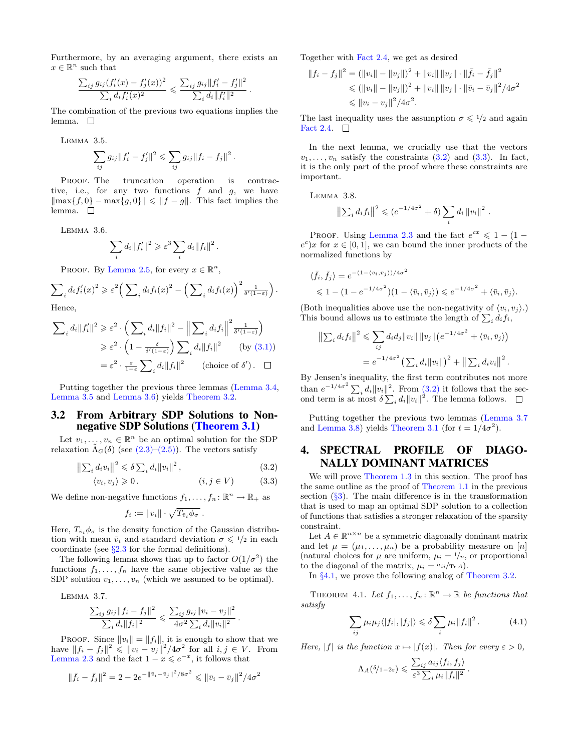Furthermore, by an averaging argument, there exists an  $x \in \mathbb{R}^n$  such that

$$
\frac{\sum_{ij} g_{ij} (f_i'(x) - f_j'(x))^2}{\sum_i d_i f_i'(x)^2} \leqslant \frac{\sum_{ij} g_{ij} ||f_i' - f_j'||^2}{\sum_i d_i ||f_i'||^2}.
$$

The combination of the previous two equations implies the lemma.  $\square$ 

<span id="page-5-4"></span>Lemma 3.5.

$$
\sum_{ij} g_{ij} ||f'_i - f'_j||^2 \leq \sum_{ij} g_{ij} ||f_i - f_j||^2.
$$

PROOF. The truncation operation is contractive, i.e., for any two functions  $f$  and  $g$ , we have  $\|\max\{f, 0\} - \max\{g, 0\}\| \leq \|f - g\|$ . This fact implies the lemma.  $\Box$ 

<span id="page-5-2"></span>Lemma 3.6.

$$
\sum_i d_i ||f'_i||^2 \geqslant \varepsilon^3 \sum_i d_i ||f_i||^2.
$$

PROOF. By [Lemma 2.5,](#page-4-4) for every  $x \in \mathbb{R}^n$ ,

$$
\sum_i d_i f'_i(x)^2 \geqslant \varepsilon^2 \left( \sum_i d_i f_i(x)^2 - \left( \sum_i d_i f_i(x) \right)^2 \frac{1}{\delta'(1-\varepsilon)} \right).
$$

Hence,

$$
\sum_{i} d_{i} ||f'_{i}||^{2} \geqslant \varepsilon^{2} \cdot \left( \sum_{i} d_{i} ||f_{i}||^{2} - \left\| \sum_{i} d_{i} f_{i} \right\|^{2} \frac{1}{\delta'(1-\varepsilon)} \right)
$$
  

$$
\geqslant \varepsilon^{2} \cdot \left( 1 - \frac{\delta}{\delta'(1-\varepsilon)} \right) \sum_{i} d_{i} ||f_{i}||^{2} \qquad \text{(by (3.1))}
$$
  

$$
= \varepsilon^{2} \cdot \frac{\varepsilon}{1-\varepsilon} \sum_{i} d_{i} ||f_{i}||^{2} \qquad \text{(choice of } \delta'). \quad \Box
$$

Putting together the previous three lemmas [\(Lemma 3.4,](#page-4-7) [Lemma 3.5](#page-5-4) and [Lemma 3.6\)](#page-5-2) yields [Theorem 3.2.](#page-4-1)

## <span id="page-5-3"></span>3.2 From Arbitrary SDP Solutions to Nonnegative SDP Solutions [\(Theorem 3.1\)](#page-4-0)

Let  $v_1, \ldots, v_n \in \mathbb{R}^n$  be an optimal solution for the SDP relaxation  $\Lambda_G(\delta)$  (see [\(2.3\)–](#page-3-1)[\(2.5\)\)](#page-3-4). The vectors satisfy

$$
\left\|\sum_{i} d_{i} v_{i}\right\|^{2} \leq \delta \sum_{i} d_{i} \|v_{i}\|^{2},
$$
\n
$$
\langle v_{i}, v_{j} \rangle \geqslant 0.
$$
\n(3.2)\n
$$
(i, j \in V)
$$
\n(3.3)

We define non-negative functions  $f_1, \ldots, f_n : \mathbb{R}^n \to \mathbb{R}_+$  as

$$
f_i := ||v_i|| \cdot \sqrt{T_{\bar{v}_i} \phi_{\sigma}}.
$$

Here,  $T_{\bar{v}_i} \phi_{\sigma}$  is the density function of the Gaussian distribution with mean  $\bar{v}_i$  and standard deviation  $\sigma \leq 1/2$  in each coordinate (see  $\S 2.3$  $\S 2.3$  for the formal definitions).

The following lemma shows that up to factor  $O(1/\sigma^2)$  the functions  $f_1, \ldots, f_n$  have the same objective value as the SDP solution  $v_1, \ldots, v_n$  (which we assumed to be optimal).

Lemma 3.7.

$$
\frac{\sum_{ij} g_{ij} ||f_i - f_j||^2}{\sum_i d_i ||f_i||^2} \leqslant \frac{\sum_{ij} g_{ij} ||v_i - v_j||^2}{4\sigma^2 \sum_i d_i ||v_i||^2}.
$$

PROOF. Since  $||v_i|| = ||f_i||$ , it is enough to show that we have  $||f_i - f_j||^2 \le ||v_i - v_j||^2 / 4\sigma^2$  for all  $i, j \in V$ . From [Lemma 2.3](#page-4-8) and the fact  $1 - x \leqslant e^{-x}$ , it follows that

$$
\|\bar{f}_i - \bar{f}_j\|^2 = 2 - 2e^{-\|\bar{v}_i - \bar{v}_j\|^2/8\sigma^2} \le \|\bar{v}_i - \bar{v}_j\|^2/4\sigma^2
$$

Together with [Fact 2.4,](#page-4-9) we get as desired

$$
||f_i - f_j||^2 = (||v_i|| - ||v_j||)^2 + ||v_i|| ||v_j|| \cdot ||\bar{f}_i - \bar{f}_j||^2
$$
  
\n
$$
\leq (||v_i|| - ||v_j||)^2 + ||v_i|| ||v_j|| \cdot ||\bar{v}_i - \bar{v}_j||^2 / 4\sigma^2
$$
  
\n
$$
\leq ||v_i - v_j||^2 / 4\sigma^2.
$$

The last inequality uses the assumption  $\sigma \leq 1/2$  and again [Fact 2.4.](#page-4-9)  $\Box$ 

In the next lemma, we crucially use that the vectors  $v_1, \ldots, v_n$  satisfy the constraints  $(3.2)$  and  $(3.3)$ . In fact, it is the only part of the proof where these constraints are important.

<span id="page-5-8"></span>Lemma 3.8.

$$
\left\|\sum_i d_i f_i\right\|^2 \leqslant (e^{-1/4\sigma^2} + \delta) \sum_i d_i \left\|v_i\right\|^2.
$$

PROOF. Using [Lemma 2.3](#page-4-8) and the fact  $e^{cx} \leq 1 - (1$  $e^c$ )x for  $x \in [0,1]$ , we can bound the inner products of the normalized functions by

$$
\langle \bar{f}_i, \bar{f}_j \rangle = e^{-(1 - \langle \bar{v}_i, \bar{v}_j \rangle)/4\sigma^2} \leq 1 - (1 - e^{-1/4\sigma^2}) (1 - \langle \bar{v}_i, \bar{v}_j \rangle) \leq e^{-1/4\sigma^2} + \langle \bar{v}_i, \bar{v}_j \rangle.
$$

(Both inequalities above use the non-negativity of  $\langle v_i, v_j \rangle$ .) This bound allows us to estimate the length of  $\sum_i d_i f_i$ ,

$$
\|\sum_i d_i f_i\|^2 \leq \sum_{ij} d_i d_j \|v_i\| \|v_j\| (e^{-1/4\sigma^2} + \langle \bar{v}_i, \bar{v}_j \rangle)
$$
  
=  $e^{-1/4\sigma^2} (\sum_i d_i \|v_i\|)^2 + \|\sum_i d_i v_i\|^2$ .

By Jensen's inequality, the first term contributes not more than  $e^{-1/4\sigma^2} \sum_i d_i ||v_i||^2$ . From [\(3.2\)](#page-5-5) it follows that the second term is at most  $\delta \sum_i d_i ||v_i||^2$ . The lemma follows.

Putting together the previous two lemmas [\(Lemma 3.7](#page-5-7) and [Lemma 3.8\)](#page-5-8) yields [Theorem 3.1](#page-4-0) (for  $t = 1/4\sigma^2$ ).

# <span id="page-5-5"></span><span id="page-5-1"></span>4. SPECTRAL PROFILE OF DIAGO-NALLY DOMINANT MATRICES

<span id="page-5-6"></span>We will prove [Theorem 1.3](#page-1-4) in this section. The proof has the same outline as the proof of [Theorem 1.1](#page-1-1) in the previous section  $(\S3)$  $(\S3)$ . The main difference is in the transformation that is used to map an optimal SDP solution to a collection of functions that satisfies a stronger relaxation of the sparsity constraint.

Let  $A \in \mathbb{R}^{n \times n}$  be a symmetric diagonally dominant matrix and let  $\mu = (\mu_1, \ldots, \mu_n)$  be a probability measure on [n] (natural choices for  $\mu$  are uniform,  $\mu_i = 1/n$ , or proportional to the diagonal of the matrix,  $\mu_i = a_{ii}/\text{Tr }A$ .

In §[4.1,](#page-6-3) we prove the following analog of [Theorem 3.2.](#page-4-1)

<span id="page-5-7"></span><span id="page-5-0"></span>THEOREM 4.1. Let  $f_1, \ldots, f_n : \mathbb{R}^n \to \mathbb{R}$  be functions that satisfy

<span id="page-5-9"></span>
$$
\sum_{ij} \mu_i \mu_j \langle |f_i|, |f_j| \rangle \leq \delta \sum_i \mu_i \|f_i\|^2.
$$
 (4.1)

Here,  $|f|$  is the function  $x \mapsto |f(x)|$ . Then for every  $\varepsilon > 0$ ,

$$
\Lambda_A(\delta/_{1-2\varepsilon}) \leqslant \frac{\sum_{ij} a_{ij} \langle f_i, f_j \rangle}{\varepsilon^3 \sum_i \mu_i \|f_i\|^2}.
$$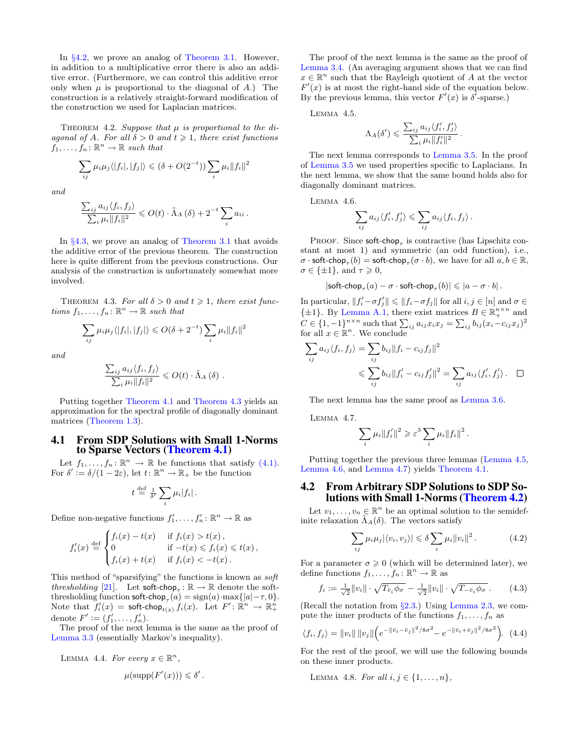In  $\S 4.2$ , we prove an analog of [Theorem 3.1.](#page-4-0) However, in addition to a multiplicative error there is also an additive error. (Furthermore, we can control this additive error only when  $\mu$  is proportional to the diagonal of A.) The construction is a relatively straight-forward modification of the construction we used for Laplacian matrices.

<span id="page-6-6"></span>THEOREM 4.2. Suppose that  $\mu$  is proportional to the diagonal of A. For all  $\delta > 0$  and  $t \geq 1$ , there exist functions  $f_1, \ldots, f_n \colon \mathbb{R}^n \to \mathbb{R}$  such that

$$
\sum_{ij} \mu_i \mu_j \langle |f_i|, |f_j| \rangle \le (\delta + O(2^{-t})) \sum_i \mu_i ||f_i||^2
$$

and

$$
\frac{\sum_{ij} a_{ij} \langle f_i, f_j \rangle}{\sum_i \mu_i \|f_i\|^2} \leqslant O(t) \cdot \tilde{\Lambda}_A \left( \delta \right) + 2^{-t} \sum_i a_{ii}.
$$

In §[4.3,](#page-7-0) we prove an analog of [Theorem 3.1](#page-4-0) that avoids the additive error of the previous theorem. The construction here is quite different from the previous constructions. Our analysis of the construction is unfortunately somewhat more involved.

<span id="page-6-0"></span>THEOREM 4.3. For all  $\delta > 0$  and  $t \geq 1$ , there exist functions  $f_1, \ldots, f_n : \mathbb{R}^n \to \mathbb{R}$  such that

$$
\sum_{ij} \mu_i \mu_j \langle |f_i|, |f_j| \rangle \le O(\delta + 2^{-t}) \sum_i \mu_i \|f_i\|^2
$$

and

$$
\frac{\sum_{ij} a_{ij} \langle f_i, f_j \rangle}{\sum_i \mu_i ||f_i||^2} \leqslant O(t) \cdot \tilde{\Lambda}_A \left( \delta \right).
$$

Putting together [Theorem 4.1](#page-5-0) and [Theorem 4.3](#page-6-0) yields an approximation for the spectral profile of diagonally dominant matrices [\(Theorem 1.3\)](#page-1-4).

#### <span id="page-6-3"></span>4.1 From SDP Solutions with Small 1-Norms to Sparse Vectors [\(Theorem 4.1\)](#page-5-0)

Let  $f_1, \ldots, f_n : \mathbb{R}^n \to \mathbb{R}$  be functions that satisfy [\(4.1\).](#page-5-9) For  $\delta' := \delta/(1-2\varepsilon)$ , let  $t: \mathbb{R}^n \to \mathbb{R}_+$  be the function

$$
t \stackrel{\text{def}}{=} \frac{1}{\delta'} \sum_i \mu_i |f_i| \, .
$$

Define non-negative functions  $f'_1, \ldots, f'_n : \mathbb{R}^n \to \mathbb{R}$  as

$$
f_i'(x) \stackrel{\text{def}}{=} \begin{cases} f_i(x) - t(x) & \text{if } f_i(x) > t(x), \\ 0 & \text{if } -t(x) \leq f_i(x) \leq t(x), \\ f_i(x) + t(x) & \text{if } f_i(x) < -t(x). \end{cases}
$$

This method of "sparsifying" the functions is known as soft thresholding [\[21\]](#page-8-21). Let  $\text{soft-chop}_{\tau} : \mathbb{R} \to \mathbb{R}$  denote the softthresholding function soft-chop<sub>τ</sub> $(a)$  = sign $(a)$ ·max $\{|a| - \tau, 0\}$ . Note that  $f_i'(x) = \mathsf{soft\text{-}chop}_{t(x)} f_i(x)$ . Let  $F' \colon \mathbb{R}^n \to \mathbb{R}^n_+$ denote  $F' := (f'_1, ..., f'_n)$ .

The proof of the next lemma is the same as the proof of [Lemma 3.3](#page-4-6) (essentially Markov's inequality).

 $\mathbf{L}$ 

LEMMA 4.4. For every 
$$
x \in \mathbb{R}^n
$$
,  

$$
\mu(\text{supp}(F'(x))) \leq \delta
$$

The proof of the next lemma is the same as the proof of [Lemma 3.4.](#page-4-7) (An averaging argument shows that we can find  $x \in \mathbb{R}^n$  such that the Rayleigh quotient of A at the vector  $F'(x)$  is at most the right-hand side of the equation below. By the previous lemma, this vector  $F'(x)$  is  $\delta^7$ -sparse.)

Lemma 4.5.

<span id="page-6-4"></span>
$$
\Lambda_A(\delta') \leqslant \frac{\sum_{ij} a_{ij} \langle f'_i, f'_j \rangle}{\sum_i \mu_i \|f'_i\|^2}.
$$

The next lemma corresponds to [Lemma 3.5.](#page-5-4) In the proof of [Lemma 3.5](#page-5-4) we used properties specific to Laplacians. In the next lemma, we show that the same bound holds also for diagonally dominant matrices.

Lemma 4.6.

<span id="page-6-5"></span>
$$
\sum_{ij} a_{ij} \langle f'_i, f'_j \rangle \leqslant \sum_{ij} a_{ij} \langle f_i, f_j \rangle.
$$

PROOF. Since  $\textsf{soft-chop}_{\tau}$  is contractive (has Lipschitz constant at most 1) and symmetric (an odd function), i.e.,  $\sigma \cdot \textsf{soft-chop}_{\tau}(b) = \textsf{soft-chop}_{\tau}(\sigma \cdot b)$ , we have for all  $a, b \in \mathbb{R}$ ,  $\sigma \in {\pm 1}$ , and  $\tau \geq 0$ ,

$$
|\mathsf{soft}\text{-}\mathsf{chop}_\tau(a)-\sigma\cdot\mathsf{soft}\text{-}\mathsf{chop}_\tau(b)|\leqslant |a-\sigma\cdot b|\,.
$$

In particular,  $||f_i' - \sigma f_j'|| \le ||f_i - \sigma f_j||$  for all  $i, j \in [n]$  and  $\sigma \in$  $\{\pm 1\}$ . By [Lemma A.1,](#page-8-22) there exist matrices  $B \in \mathbb{R}_+^{n \times n}$  and  $C \in \{1, -1\}^{n \times n}$  such that  $\sum_{ij} a_{ij} x_i x_j = \sum_{ij} b_{ij} (x_i - c_{ij} x_j)^2$ for all  $x \in \mathbb{R}^n$ . We conclude

$$
\sum_{ij} a_{ij} \langle f_i, f_j \rangle = \sum_{ij} b_{ij} ||f_i - c_{ij} f_j||^2
$$
  

$$
\leq \sum_{ij} b_{ij} ||f'_i - c_{ij} f'_j||^2 = \sum_{ij} a_{ij} \langle f'_i, f'_j \rangle. \quad \Box
$$

<span id="page-6-2"></span>The next lemma has the same proof as [Lemma 3.6.](#page-5-2)

Lemma 4.7.

$$
\sum_i \mu_i ||f'_i||^2 \geqslant \varepsilon^3 \sum_i \mu_i ||f_i||^2.
$$

Putting together the previous three lemmas [\(Lemma 4.5,](#page-6-4) [Lemma 4.6,](#page-6-5) and [Lemma 4.7\)](#page-6-2) yields [Theorem 4.1.](#page-5-0)

# <span id="page-6-1"></span>4.2 From Arbitrary SDP Solutions to SDP Solutions with Small 1-Norms [\(Theorem 4.2\)](#page-6-6)

Let  $v_1, \ldots, v_n \in \mathbb{R}^n$  be an optimal solution to the semidefinite relaxation  $\tilde{\Lambda}_A(\delta)$ . The vectors satisfy

<span id="page-6-10"></span>
$$
\sum_{ij} \mu_i \mu_j |\langle v_i, v_j \rangle| \leq \delta \sum_i \mu_i ||v_i||^2.
$$
 (4.2)

For a parameter  $\sigma \geq 0$  (which will be determined later), we define functions  $f_1, \ldots, f_n : \mathbb{R}^n \to \mathbb{R}$  as

<span id="page-6-8"></span>
$$
f_i := \frac{1}{\sqrt{2}} \|v_i\| \cdot \sqrt{T_{\bar{v}_i} \phi_\sigma} - \frac{1}{\sqrt{2}} \|v_i\| \cdot \sqrt{T_{-\bar{v}_i} \phi_\sigma} \,. \tag{4.3}
$$

(Recall the notation from  $\S 2.3$ .) Using [Lemma 2.3,](#page-4-8) we compute the inner products of the functions  $f_1, \ldots, f_n$  as

<span id="page-6-7"></span>
$$
\langle f_i, f_j \rangle = ||v_i|| \, ||v_j|| \left( e^{-||\bar{v}_i - \bar{v}_j||^2 / 8\sigma^2} - e^{-||\bar{v}_i + \bar{v}_j||^2 / 8\sigma^2} \right). \tag{4.4}
$$

For the rest of the proof, we will use the following bounds on these inner products.

<span id="page-6-9"></span>LEMMA 4.8. For all  $i, j \in \{1, ..., n\},$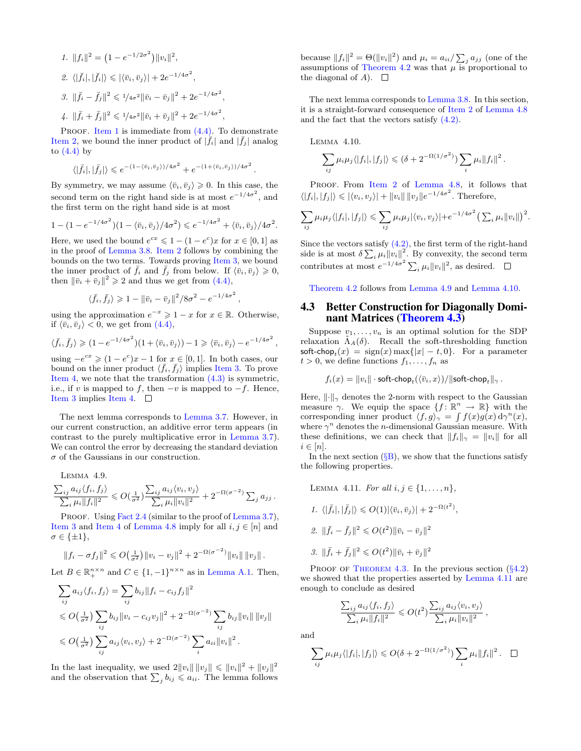<span id="page-7-3"></span><span id="page-7-2"></span><span id="page-7-1"></span>1. 
$$
||f_i||^2 = (1 - e^{-1/2\sigma^2}) ||v_i||^2
$$
,  
\n2.  $\langle |\bar{f}_i|, |\bar{f}_i| \rangle \leq |\langle \bar{v}_i, \bar{v}_j \rangle| + 2e^{-1/4\sigma^2}$ ,  
\n3.  $||\bar{f}_i - \bar{f}_j||^2 \leq 1/4\sigma^2 ||\bar{v}_i - \bar{v}_j||^2 + 2e^{-1/4\sigma^2}$ ,  
\n4.  $||\bar{f}_i + \bar{f}_j||^2 \leq 1/4\sigma^2 ||\bar{v}_i + \bar{v}_j||^2 + 2e^{-1/4\sigma^2}$ ,

<span id="page-7-4"></span>PROOF. [Item 1](#page-7-1) is immediate from  $(4.4)$ . To demonstrate [Item 2,](#page-7-2) we bound the inner product of  $|\bar{f}_i|$  and  $|\bar{f}_j|$  analog to  $(4.4)$  by

$$
\langle |\bar{f}_i|, |\bar{f}_j| \rangle \le e^{-(1-\langle \bar{v}_i, \bar{v}_j \rangle)/4\sigma^2} + e^{-(1+\langle \bar{v}_i, \bar{v}_j \rangle)/4\sigma^2}
$$

By symmetry, we may assume  $\langle \bar{v}_i, \bar{v}_j \rangle \geq 0$ . In this case, the second term on the right hand side is at most  $e^{-1/4\sigma^2}$ , and the first term on the right hand side is at most

$$
1 - (1 - e^{-1/4\sigma^2})(1 - \langle \bar{v}_i, \bar{v}_j \rangle / 4\sigma^2) \leqslant e^{-1/4\sigma^2} + \langle \bar{v}_i, \bar{v}_j \rangle / 4\sigma^2.
$$

Here, we used the bound  $e^{cx} \leq 1 - (1 - e^c)x$  for  $x \in [0, 1]$  as in the proof of [Lemma 3.8.](#page-5-8) [Item 2](#page-7-2) follows by combining the bounds on the two terms. Towards proving [Item 3,](#page-7-3) we bound the inner product of  $\bar{f}_i$  and  $\bar{f}_j$  from below. If  $\langle \bar{v}_i, \bar{v}_j \rangle \geqslant 0$ , then  $\|\bar{v}_i + \bar{v}_j\|^2 \geq 2$  and thus we get from [\(4.4\),](#page-6-7)

$$
\langle \bar{f}_i, \bar{f}_j \rangle \geq 1 - ||\bar{v}_i - \bar{v}_j||^2 / 8\sigma^2 - e^{-1/4\sigma^2},
$$

using the approximation  $e^{-x} \geq 1 - x$  for  $x \in \mathbb{R}$ . Otherwise, if  $\langle \bar{v}_i, \bar{v}_j \rangle < 0$ , we get from [\(4.4\),](#page-6-7)

$$
\langle \bar{f}_i, \bar{f}_j \rangle \geq (1 - e^{-1/4\sigma^2})(1 + \langle \bar{v}_i, \bar{v}_j \rangle) - 1 \geq \langle \bar{v}_i, \bar{v}_j \rangle - e^{-1/4\sigma^2}
$$

using  $-e^{cx} \geq (1-e^c)x - 1$  for  $x \in [0,1]$ . In both cases, our bound on the inner product  $\langle \bar{f}_i, \bar{f}_j \rangle$  implies [Item 3.](#page-7-3) To prove [Item 4,](#page-7-4) we note that the transformation  $(4.3)$  is symmetric, i.e., if v is mapped to f, then  $-v$  is mapped to  $-f$ . Hence, [Item 3](#page-7-3) implies [Item 4.](#page-7-4)  $\Box$ 

The next lemma corresponds to [Lemma 3.7.](#page-5-7) However, in our current construction, an additive error term appears (in contrast to the purely multiplicative error in [Lemma 3.7\)](#page-5-7). We can control the error by decreasing the standard deviation  $\sigma$  of the Gaussians in our construction.

<span id="page-7-5"></span>Lemma 4.9.  $\sum_{ij} a_{ij} \langle f_i, f_j \rangle$  $\frac{\sum_{ij} a_{ij} \langle f_i, f_j \rangle}{\sum_i \mu_i \|f_i\|^2} \leqslant O(\frac{1}{\sigma^2}) \frac{\sum_{ij} a_{ij} \langle v_i, v_j \rangle}{\sum_i \mu_i \|v_i\|^2}$  $\frac{\sum_{ij} a_{ij} \langle v_i, v_j \rangle}{\sum_i \mu_i \|v_i\|^2} + 2^{-\Omega(\sigma^{-2})} \sum_j a_{jj}.$ 

PROOF. Using [Fact 2.4](#page-4-9) (similar to the proof of [Lemma 3.7\)](#page-5-7), [Item 3](#page-7-3) and [Item 4](#page-7-4) of [Lemma 4.8](#page-6-9) imply for all  $i, j \in [n]$  and  $\sigma \in \{\pm 1\},\$ 

$$
||f_i - \sigma f_j||^2 \leqslant O\left(\frac{1}{\sigma^2}\right) ||v_i - v_j||^2 + 2^{-\Omega(\sigma^{-2})} ||v_i|| ||v_j||.
$$

Let  $B \in \mathbb{R}_+^{n \times n}$  and  $C \in \{1, -1\}^{n \times n}$  as in [Lemma A.1.](#page-8-22) Then,

$$
\sum_{ij} a_{ij} \langle f_i, f_j \rangle = \sum_{ij} b_{ij} ||f_i - c_{ij} f_j||^2
$$
  
\n
$$
\leqslant O\left(\frac{1}{\sigma^2}\right) \sum_{ij} b_{ij} ||v_i - c_{ij} v_j||^2 + 2^{-\Omega(\sigma^{-2})} \sum_{ij} b_{ij} ||v_i|| ||v_j||
$$
  
\n
$$
\leqslant O\left(\frac{1}{\sigma^2}\right) \sum_{ij} a_{ij} \langle v_i, v_j \rangle + 2^{-\Omega(\sigma^{-2})} \sum_i a_{ii} ||v_i||^2.
$$

In the last inequality, we used  $2||v_i|| ||v_j|| \le ||v_i||^2 + ||v_j||^2$ and the observation that  $\sum_j b_{ij} \leq a_{ii}$ . The lemma follows

because  $||f_i||^2 = \Theta(||v_i||^2)$  and  $\mu_i = a_{ii}/\sum_j a_{jj}$  (one of the assumptions of [Theorem 4.2](#page-6-6) was that  $\mu$  is proportional to the diagonal of  $A$ ).  $\square$ 

The next lemma corresponds to [Lemma 3.8.](#page-5-8) In this section, it is a straight-forward consequence of [Item 2](#page-7-2) of [Lemma 4.8](#page-6-9) and the fact that the vectors satisfy [\(4.2\).](#page-6-10)

<span id="page-7-6"></span>Lemma 4.10.

.

,

$$
\sum_{ij} \mu_i \mu_j \langle |f_i|, |f_j| \rangle \leq (\delta + 2^{-\Omega(1/\sigma^2)}) \sum_i \mu_i \|f_i\|^2.
$$

PROOF. From [Item 2](#page-7-2) of [Lemma 4.8,](#page-6-9) it follows that  $\langle |f_i|, |f_j| \rangle \leqslant |\langle v_i, v_j \rangle| + ||v_i|| ||v_j|| e^{-1/4\sigma^2}$ . Therefore,

$$
\sum_{ij} \mu_i \mu_j \langle |f_i|, |f_j| \rangle \leq \sum_{ij} \mu_i \mu_j |\langle v_i, v_j \rangle| + e^{-1/4\sigma^2} \left( \sum_i \mu_i ||v_i|| \right)^2.
$$

Since the vectors satisfy  $(4.2)$ , the first term of the right-hand side is at most  $\delta \sum_i \mu_i ||v_i||^2$ . By convexity, the second term contributes at most  $e^{-1/4\sigma^2} \sum_i \mu_i ||v_i||^2$ , as desired.

[Theorem 4.2](#page-6-6) follows from [Lemma 4.9](#page-7-5) and [Lemma 4.10.](#page-7-6)

# <span id="page-7-0"></span>4.3 Better Construction for Diagonally Dominant Matrices [\(Theorem 4.3\)](#page-6-0)

Suppose  $v_1, \ldots, v_n$  is an optimal solution for the SDP relaxation  $\Lambda_A(\delta)$ . Recall the soft-thresholding function soft-chop $t(x) = sign(x) \max\{|x| - t, 0\}$ . For a parameter  $t > 0$ , we define functions  $f_1, \ldots, f_n$  as

$$
f_i(x) = ||v_i|| \cdot \mathsf{soft\text{-}chop}_{t}(\langle \bar{v}_i, x \rangle) / ||\mathsf{soft\text{-}chop}_{t}||_{\gamma} .
$$

Here,  $\lVert \cdot \rVert_{\gamma}$  denotes the 2-norm with respect to the Gaussian measure  $\gamma$ . We equip the space  $\{f: \mathbb{R}^n \to \mathbb{R}\}\$  with the corresponding inner product  $\langle f, g \rangle_{\gamma} = \int f(x)g(x) d\gamma^{n}(x)$ , where  $\gamma^n$  denotes the *n*-dimensional Gaussian measure. With these definitions, we can check that  $||f_i||_{\gamma} = ||v_i||$  for all  $i \in [n]$ .

<span id="page-7-7"></span>In the next section  $(\S B)$  $(\S B)$ , we show that the functions satisfy the following properties.

- LEMMA 4.11. For all  $i, j \in \{1, ..., n\}$ ,
- 1.  $\langle |\bar{f}_i|, |\bar{f}_j| \rangle \leq O(1) |\langle \bar{v}_i, \bar{v}_j \rangle| + 2^{-\Omega(t^2)},$ 2.  $\|\bar{f}_i - \bar{f}_j\|^2 \leqslant O(t^2) \|\bar{v}_i - \bar{v}_j\|^2$
- 3.  $\|\bar{f}_i + \bar{f}_j\|^2 \leqslant O(t^2) \|\bar{v}_i + \bar{v}_j\|^2$

PROOF OF THEOREM 4.3. In the previous section  $(\&4.2)$  $(\&4.2)$ we showed that the properties asserted by [Lemma 4.11](#page-7-7) are enough to conclude as desired

$$
\frac{\sum_{ij} a_{ij} \langle f_i, f_j \rangle}{\sum_i \mu_i ||f_i||^2} \leqslant O(t^2) \frac{\sum_{ij} a_{ij} \langle v_i, v_j \rangle}{\sum_i \mu_i ||v_i||^2},
$$

and

$$
\sum_{ij} \mu_i \mu_j \langle |f_i|, |f_j| \rangle \leq O(\delta + 2^{-\Omega(1/\sigma^2)}) \sum_i \mu_i \|f_i\|^2. \quad \Box
$$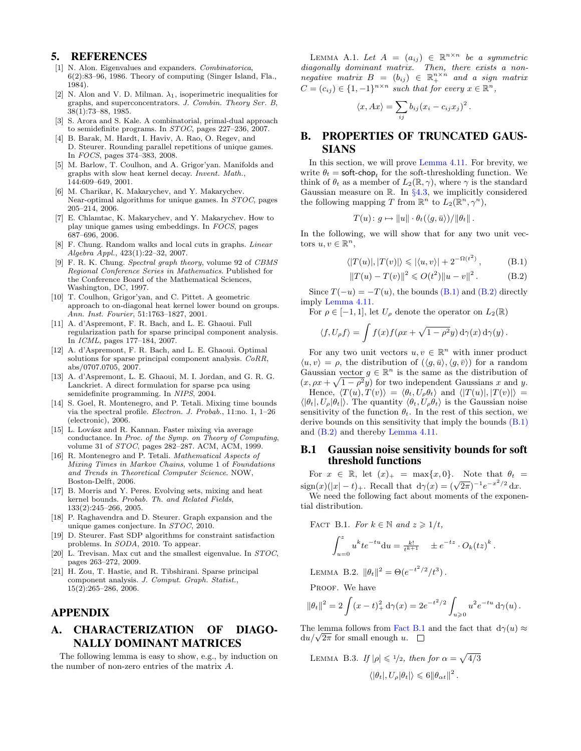#### 5. REFERENCES

- <span id="page-8-11"></span>[1] N. Alon. Eigenvalues and expanders. *Combinatorica*, 6(2):83–96, 1986. Theory of computing (Singer Island, Fla., 1984).
- <span id="page-8-12"></span>[2] N. Alon and V. D. Milman.  $\lambda_1$ , isoperimetric inequalities for graphs, and superconcentrators. J. Combin. Theory Ser. B, 38(1):73–88, 1985.
- <span id="page-8-15"></span>[3] S. Arora and S. Kale. A combinatorial, primal-dual approach to semidefinite programs. In STOC, pages 227–236, 2007.
- <span id="page-8-18"></span>[4] B. Barak, M. Hardt, I. Haviv, A. Rao, O. Regev, and D. Steurer. Rounding parallel repetitions of unique games. In FOCS, pages 374–383, 2008.
- <span id="page-8-4"></span>[5] M. Barlow, T. Coulhon, and A. Grigor'yan. Manifolds and graphs with slow heat kernel decay. Invent. Math., 144:609–649, 2001.
- <span id="page-8-13"></span>[6] M. Charikar, K. Makarychev, and Y. Makarychev. Near-optimal algorithms for unique games. In STOC, pages 205–214, 2006.
- <span id="page-8-14"></span>[7] E. Chlamtac, K. Makarychev, and Y. Makarychev. How to play unique games using embeddings. In FOCS, pages 687–696, 2006.
- <span id="page-8-10"></span>[8] F. Chung. Random walks and local cuts in graphs. Linear Algebra Appl., 423(1):22–32, 2007.
- <span id="page-8-20"></span>[9] F. R. K. Chung. Spectral graph theory, volume 92 of CBMS Regional Conference Series in Mathematics. Published for the Conference Board of the Mathematical Sciences, Washington, DC, 1997.
- <span id="page-8-5"></span>[10] T. Coulhon, Grigor'yan, and C. Pittet. A geometric approach to on-diagonal heat kernel lower bound on groups. Ann. Inst. Fourier, 51:1763–1827, 2001.
- <span id="page-8-7"></span>[11] A. d'Aspremont, F. R. Bach, and L. E. Ghaoui. Full regularization path for sparse principal component analysis. In ICML, pages 177–184, 2007.
- <span id="page-8-8"></span>[12] A. d'Aspremont, F. R. Bach, and L. E. Ghaoui. Optimal solutions for sparse principal component analysis. CoRR, abs/0707.0705, 2007.
- <span id="page-8-9"></span>[13] A. d'Aspremont, L. E. Ghaoui, M. I. Jordan, and G. R. G. Lanckriet. A direct formulation for sparse pca using semidefinite programming. In NIPS, 2004.
- <span id="page-8-3"></span>[14] S. Goel, R. Montenegro, and P. Tetali. Mixing time bounds via the spectral profile. Electron. J. Probab., 11:no. 1, 1–26 (electronic), 2006.
- <span id="page-8-1"></span>[15] L. Lovász and R. Kannan. Faster mixing via average conductance. In Proc. of the Symp. on Theory of Computing, volume 31 of *STOC*, pages 282-287. ACM, ACM, 1999.
- <span id="page-8-6"></span>[16] R. Montenegro and P. Tetali. Mathematical Aspects of Mixing Times in Markov Chains, volume 1 of Foundations and Trends in Theoretical Computer Science. NOW, Boston-Delft, 2006.
- <span id="page-8-2"></span>[17] B. Morris and Y. Peres. Evolving sets, mixing and heat kernel bounds. Probab. Th. and Related Fields, 133(2):245–266, 2005.
- <span id="page-8-0"></span>[18] P. Raghavendra and D. Steurer. Graph expansion and the unique games conjecture. In STOC, 2010.
- <span id="page-8-16"></span>[19] D. Steurer. Fast SDP algorithms for constraint satisfaction problems. In SODA, 2010. To appear.
- <span id="page-8-17"></span>[20] L. Trevisan. Max cut and the smallest eigenvalue. In STOC, pages 263–272, 2009.
- <span id="page-8-21"></span>[21] H. Zou, T. Hastie, and R. Tibshirani. Sparse principal component analysis. J. Comput. Graph. Statist., 15(2):265–286, 2006.

# APPENDIX

# A. CHARACTERIZATION OF DIAGO-NALLY DOMINANT MATRICES

<span id="page-8-22"></span>The following lemma is easy to show, e.g., by induction on the number of non-zero entries of the matrix A.

LEMMA A.1. Let  $A = (a_{ij}) \in \mathbb{R}^{n \times n}$  be a symmetric diagonally dominant matrix. Then, there exists a non $negative$  matrix  $B = (b_{ij}) \in \mathbb{R}_+^{n \times n}$  and a sign matrix  $C = (c_{ij}) \in \{1, -1\}^{n \times n}$  such that for every  $x \in \mathbb{R}^n$ ,

$$
\langle x, Ax \rangle = \sum_{ij} b_{ij} (x_i - c_{ij} x_j)^2.
$$

# <span id="page-8-19"></span>B. PROPERTIES OF TRUNCATED GAUS-SIANS

In this section, we will prove [Lemma 4.11.](#page-7-7) For brevity, we write  $\theta_t = \text{soft-chop}_t$  for the soft-thresholding function. We think of  $\theta_t$  as a member of  $L_2(\mathbb{R}, \gamma)$ , where  $\gamma$  is the standard Gaussian measure on  $\mathbb{R}$ . In §[4.3,](#page-7-0) we implicitly considered the following mapping T from  $\mathbb{R}^n$  to  $L_2(\mathbb{R}^n, \gamma^n)$ ,

$$
T(u): g \mapsto ||u|| \cdot \theta_t(\langle g, \bar{u} \rangle) / ||\theta_t||.
$$

In the following, we will show that for any two unit vectors  $u, v \in \mathbb{R}^n$ ,

$$
\langle |T(u)|, |T(v)| \rangle \leqslant |\langle u, v \rangle| + 2^{-\Omega(t^2)}, \tag{B.1}
$$

<span id="page-8-24"></span><span id="page-8-23"></span>
$$
||T(u) - T(v)||^{2} \leqslant O(t^{2})||u - v||^{2}. \qquad (B.2)
$$

Since  $T(-u) = -T(u)$ , the bounds [\(B.1\)](#page-8-23) and [\(B.2\)](#page-8-24) directly imply [Lemma 4.11.](#page-7-7)

For  $\rho \in [-1,1]$ , let  $U_{\rho}$  denote the operator on  $L_2(\mathbb{R})$ 

$$
\langle f, U_{\rho} f \rangle = \int f(x) f(\rho x + \sqrt{1 - \rho^2} y) d\gamma(x) d\gamma(y).
$$

For any two unit vectors  $u, v \in \mathbb{R}^n$  with inner product  $\langle u, v \rangle = \rho$ , the distribution of  $(\langle g, \bar{u} \rangle, \langle g, \bar{v} \rangle)$  for a random Gaussian vector  $g \in \mathbb{R}^n$  is the same as the distribution of  $(x, \rho x + \sqrt{1-\rho^2}y)$  for two independent Gaussians x and y. Hence,  $\langle T(u), T(v)\rangle = \langle \theta_t, U_\rho \theta_t \rangle$  and  $\langle |T(u)|, |T(v)| \rangle =$  $\langle \theta_t, U_\rho | \theta_t \rangle$ . The quantity  $\langle \theta_t, U_\rho | \theta_t \rangle$  is the Gaussian noise sensitivity of the function  $\theta_t$ . In the rest of this section, we derive bounds on this sensitivity that imply the bounds [\(B.1\)](#page-8-23) and [\(B.2\)](#page-8-24) and thereby [Lemma 4.11.](#page-7-7)

## B.1 Gaussian noise sensitivity bounds for soft threshold functions

For  $x \in \mathbb{R}$ , let  $(x)_+ = \max\{x, 0\}$ . Note that  $\theta_t =$  $\sin(x)(|x| - t)$ . Recall that  $d\gamma(x) = (\sqrt{2\pi})^{-1}e^{-x^2/2} dx$ .

We need the following fact about moments of the exponential distribution.

<span id="page-8-25"></span>FACT B.1. For 
$$
k \in \mathbb{N}
$$
 and  $z \ge 1/t$ ,  
\n
$$
\int_{u=0}^{z} u^{k}te^{-tu}du = \frac{k!}{t^{k+1}} \pm e^{-tz} \cdot O_{k}(tz)^{k}
$$

.

<span id="page-8-27"></span>LEMMA B.2.  $\|\theta_t\|^2 = \Theta(e^{-t^2/2}/t^3)$ .

PROOF. We have

$$
\|\theta_t\|^2 = 2\int (x-t)_+^2 d\gamma(x) = 2e^{-t^2/2} \int_{u\geqslant 0} u^2 e^{-tu} d\gamma(u).
$$

The lemma follows from [Fact B.1](#page-8-25) and the fact that  $d\gamma(u) \approx$ The lemma follows from Fact<br> $du/\sqrt{2\pi}$  for small enough u.

<span id="page-8-26"></span>LEMMA B.3. If 
$$
|\rho| \leq 1/2
$$
, then for  $\alpha = \sqrt{4/3}$   

$$
\langle |\theta_t|, U_\rho |\theta_t| \rangle \leq 6 ||\theta_{\alpha t}||^2.
$$